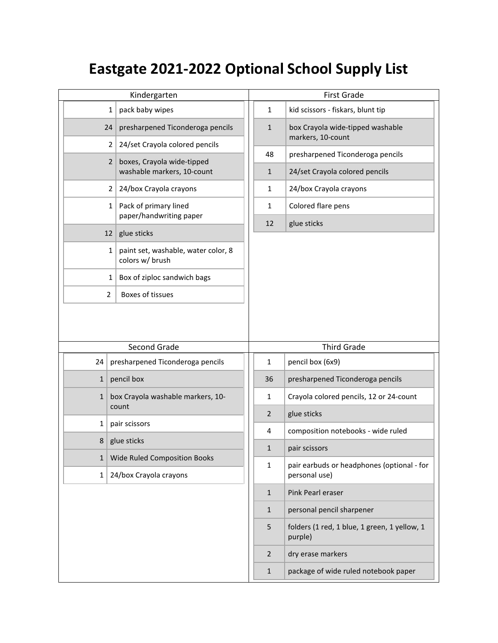## **Eastgate 2021-2022 Optional School Supply List**

| Kindergarten |                 |                                                        | <b>First Grade</b> |                                                             |  |
|--------------|-----------------|--------------------------------------------------------|--------------------|-------------------------------------------------------------|--|
|              | $\mathbf{1}$    | pack baby wipes                                        | $\mathbf{1}$       | kid scissors - fiskars, blunt tip                           |  |
|              | 24              | presharpened Ticonderoga pencils                       | $\mathbf{1}$       | box Crayola wide-tipped washable<br>markers, 10-count       |  |
|              | $\overline{2}$  | 24/set Crayola colored pencils                         |                    |                                                             |  |
|              | $\overline{2}$  | boxes, Crayola wide-tipped                             | 48                 | presharpened Ticonderoga pencils                            |  |
|              |                 | washable markers, 10-count                             | $\mathbf{1}$       | 24/set Crayola colored pencils                              |  |
|              | 2 <sup>1</sup>  | 24/box Crayola crayons                                 | 1                  | 24/box Crayola crayons                                      |  |
|              | $1\vert$        | Pack of primary lined<br>paper/handwriting paper       | $\mathbf{1}$       | Colored flare pens                                          |  |
|              | 12 <sup>2</sup> | glue sticks                                            | 12                 | glue sticks                                                 |  |
|              | $\mathbf{1}$    | paint set, washable, water color, 8<br>colors w/ brush |                    |                                                             |  |
|              | 1               | Box of ziploc sandwich bags                            |                    |                                                             |  |
|              | $\overline{2}$  | <b>Boxes of tissues</b>                                |                    |                                                             |  |
|              |                 |                                                        |                    |                                                             |  |
|              |                 |                                                        |                    |                                                             |  |
|              |                 | Second Grade                                           |                    | <b>Third Grade</b>                                          |  |
| 24           |                 | presharpened Ticonderoga pencils                       | 1                  | pencil box (6x9)                                            |  |
| $\mathbf{1}$ |                 | pencil box                                             | 36                 | presharpened Ticonderoga pencils                            |  |
| $\mathbf{1}$ |                 | box Crayola washable markers, 10-<br>count             | 1                  | Crayola colored pencils, 12 or 24-count                     |  |
| 1            |                 | pair scissors                                          | 2                  | glue sticks                                                 |  |
| 8            |                 | glue sticks                                            | 4                  | composition notebooks - wide ruled                          |  |
| 1            |                 | Wide Ruled Composition Books                           | 1                  | pair scissors                                               |  |
| $\mathbf{1}$ |                 | 24/box Crayola crayons                                 | $\mathbf{1}$       | pair earbuds or headphones (optional - for<br>personal use) |  |
|              |                 |                                                        | $\mathbf{1}$       | Pink Pearl eraser                                           |  |
|              |                 |                                                        | $\mathbf{1}$       | personal pencil sharpener                                   |  |
|              |                 |                                                        | 5                  | folders (1 red, 1 blue, 1 green, 1 yellow, 1<br>purple)     |  |
|              |                 |                                                        | $\overline{2}$     | dry erase markers                                           |  |